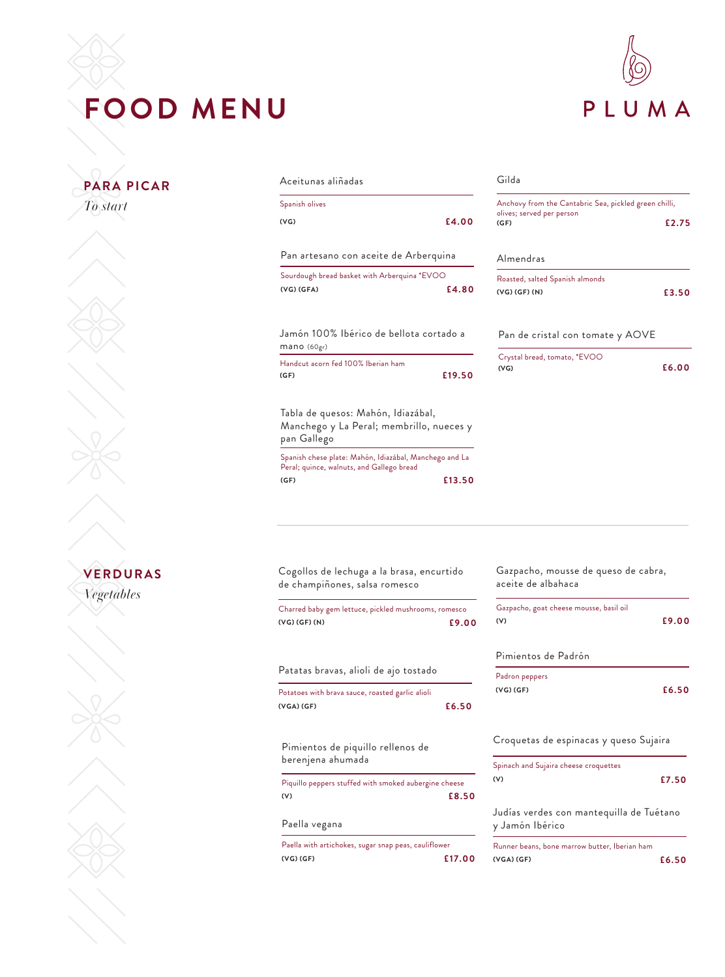# **FOOD MENU**



# **VERDURAS** *Vegetables*  **PARA PICAR** *To start*

# Jamón 100% Ibérico de bellota cortado a mano (60gr) Handcut acorn fed 100% Iberian ham **(GF) £19.50** Aceitunas aliñadas Spanish olives **(VG) £4.00** Pan artesano con aceite de Arberquina Sourdough bread basket with Arberquina \*EVOO **(VG) (GFA) £4.80**

Tabla de quesos: Mahón, Idiazábal, Manchego y La Peral; membrillo, nueces y pan Gallego

Spanish chese plate: Mahón, Idiazábal, Manchego and La Peral; quince, walnuts, and Gallego bread **(GF) £13.50**

### Gilda

| Anchovy from the Cantabric Sea, pickled green chilli, |
|-------------------------------------------------------|
| £2.75                                                 |
|                                                       |
| £3.50                                                 |
|                                                       |
| £6.00                                                 |
|                                                       |

| Cogollos de lechuga a la brasa, encurtido<br>de champiñones, salsa romesco |       |  |  |
|----------------------------------------------------------------------------|-------|--|--|
| Charred baby gem lettuce, pickled mushrooms, romesco<br>(VG) (GF) (N)      | £9.00 |  |  |
| Patatas bravas, alioli de ajo tostado                                      |       |  |  |
| Potatoes with brava sauce, roasted garlic alioli<br>$(VGA)$ $(GF)$         | £6.50 |  |  |
| Pimientos de piquillo rellenos de<br>berenjena ahumada                     |       |  |  |

Piquillo peppers stuffed with smoked aubergine cheese **(V) £8.50**

### Paella vegana

Paella with artichokes, sugar snap peas, cauliflower **(VG) (GF) £17.00**

## Pimientos de Padrón Padron peppers **(VG) (GF) £6.50** Croquetas de espinacas y queso Sujaira Spinach and Sujaira cheese croquettes **(V) £7.50** Gazpacho, mousse de queso de cabra, aceite de albahaca Gazpacho, goat cheese mousse, basil oil **(V) £9.00**

Judías verdes con mantequilla de Tuétano y Jamón Ibérico

| Runner beans, bone marrow butter, Iberian ham |       |
|-----------------------------------------------|-------|
| (VGA) (GF)                                    | £6.50 |